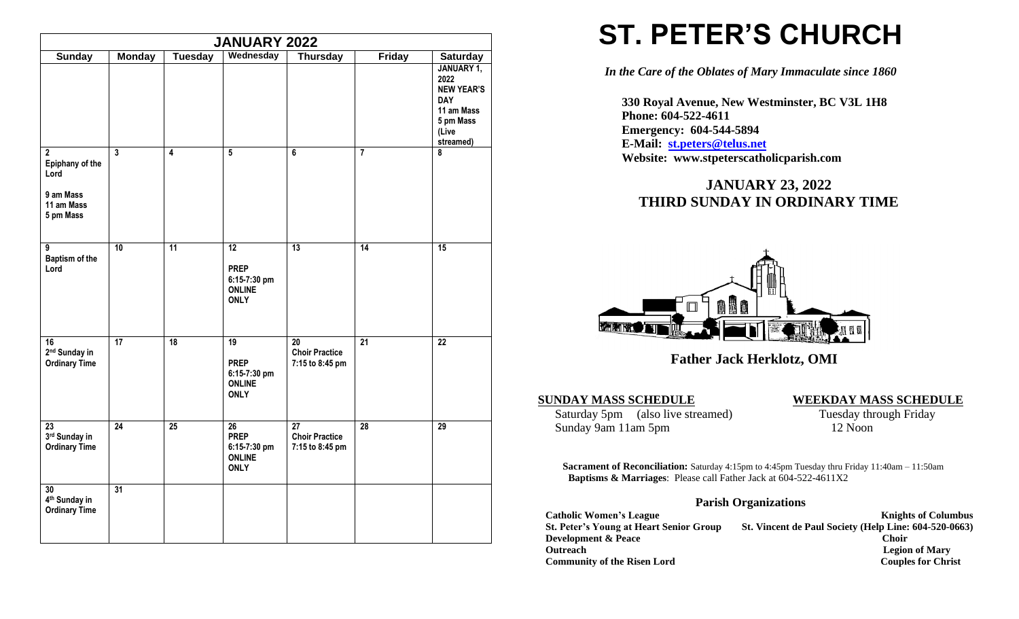| <b>JANUARY 2022</b>                                                             |                |                |                                                                   |                                                             |                 |                                                                                                                           |
|---------------------------------------------------------------------------------|----------------|----------------|-------------------------------------------------------------------|-------------------------------------------------------------|-----------------|---------------------------------------------------------------------------------------------------------------------------|
| <b>Sunday</b>                                                                   | <b>Monday</b>  | <b>Tuesday</b> | Wednesday                                                         | <b>Thursday</b>                                             | <b>Friday</b>   | <b>Saturday</b><br>JANUARY 1,<br>2022<br><b>NEW YEAR'S</b><br><b>DAY</b><br>11 am Mass<br>5 pm Mass<br>(Live<br>streamed) |
| $\mathbf{2}$<br>Epiphany of the<br>Lord<br>9 am Mass<br>11 am Mass<br>5 pm Mass | $\overline{3}$ | 4              | $\overline{5}$                                                    | 6                                                           | $\overline{7}$  | 8                                                                                                                         |
| $\overline{9}$<br>Baptism of the<br>Lord                                        | 10             | 11             | 12<br><b>PREP</b><br>6:15-7:30 pm<br><b>ONLINE</b><br><b>ONLY</b> | 13                                                          | 14              | 15                                                                                                                        |
| 16<br>2 <sup>nd</sup> Sunday in<br><b>Ordinary Time</b>                         | 17             | 18             | 19<br><b>PREP</b><br>6:15-7:30 pm<br><b>ONLINE</b><br><b>ONLY</b> | 20<br><b>Choir Practice</b><br>7:15 to 8:45 pm              | $\overline{21}$ | $\overline{22}$                                                                                                           |
| 23<br>3rd Sunday in<br><b>Ordinary Time</b>                                     | 24             | 25             | 26<br><b>PREP</b><br>6:15-7:30 pm<br><b>ONLINE</b><br><b>ONLY</b> | $\overline{27}$<br><b>Choir Practice</b><br>7:15 to 8:45 pm | 28              | $\overline{29}$                                                                                                           |
| $\overline{30}$<br>4 <sup>th</sup> Sunday in<br><b>Ordinary Time</b>            | 31             |                |                                                                   |                                                             |                 |                                                                                                                           |

## **ST. PETER'S CHURCH**

*In the Care of the Oblates of Mary Immaculate since 1860*

 **330 Royal Avenue, New Westminster, BC V3L 1H8 Phone: 604-522-4611 Emergency: 604-544-5894 E-Mail: [st.peters@telus.net](mailto:st.peters@telus.net) Website: www.stpeterscatholicparish.com**

## **JANUARY 23, 2022 THIRD SUNDAY IN ORDINARY TIME**



 **Father Jack Herklotz, OMI**

**SUNDAY MASS SCHEDULE**<br>Saturday 5pm (also live streamed) **WEEKDAY MASS SCHEDULE**<br>Tuesday through Friday Saturday 5pm (also live streamed) Sunday 9am 11am 5pm 12 Noon

**Sacrament of Reconciliation:** Saturday 4:15pm to 4:45pm Tuesday thru Friday 11:40am – 11:50am  **Baptisms & Marriages**: Please call Father Jack at 604-522-4611X2

## **Parish Organizations**

| <b>Catholic Women's League</b>                 | <b>Knights of Columbus</b>                            |
|------------------------------------------------|-------------------------------------------------------|
| <b>St. Peter's Young at Heart Senior Group</b> | St. Vincent de Paul Society (Help Line: 604-520-0663) |
| <b>Development &amp; Peace</b>                 | Choir                                                 |
| <b>Outreach</b>                                | <b>Legion of Mary</b>                                 |
| <b>Community of the Risen Lord</b>             | <b>Couples for Christ</b>                             |